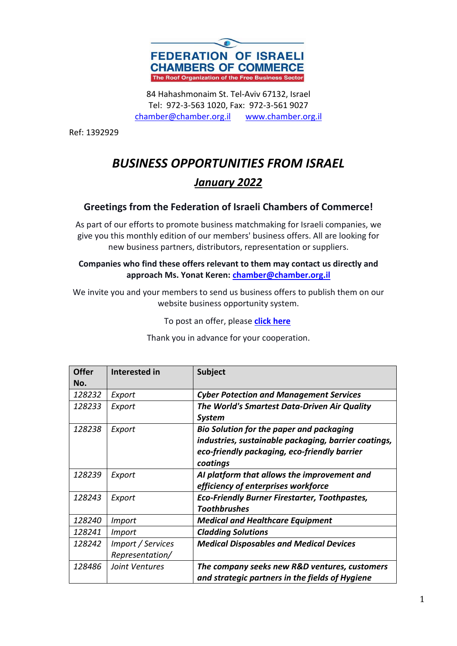

84 Hahashmonaim St. Tel-Aviv 67132, Israel Tel: 972-3-563 1020, Fax: 972-3-561 9027 chamber@chamber.org.il www.chamber.org.il

Ref: 1392929

# *BUSINESS OPPORTUNITIES FROM ISRAEL January 2022*

# **Greetings from the Federation of Israeli Chambers of Commerce!**

As part of our efforts to promote business matchmaking for Israeli companies, we give you this monthly edition of our members' business offers. All are looking for new business partners, distributors, representation or suppliers.

#### **Companies who find these offers relevant to them may contact us directly and approach Ms. Yonat Keren: chamber@chamber.org.il**

We invite you and your members to send us business offers to publish them on our website business opportunity system.

To post an offer, please **click here**

| <b>Offer</b> | Interested in     | <b>Subject</b>                                       |
|--------------|-------------------|------------------------------------------------------|
| No.          |                   |                                                      |
| 128232       | Export            | <b>Cyber Potection and Management Services</b>       |
| 128233       | Export            | The World's Smartest Data-Driven Air Quality         |
|              |                   | <b>System</b>                                        |
| 128238       | Export            | Bio Solution for the paper and packaging             |
|              |                   | industries, sustainable packaging, barrier coatings, |
|              |                   | eco-friendly packaging, eco-friendly barrier         |
|              |                   | coatings                                             |
| 128239       | Export            | AI platform that allows the improvement and          |
|              |                   | efficiency of enterprises workforce                  |
| 128243       | Export            | <b>Eco-Friendly Burner Firestarter, Toothpastes,</b> |
|              |                   | <b>Toothbrushes</b>                                  |
| 128240       | <i>Import</i>     | <b>Medical and Healthcare Equipment</b>              |
| 128241       | <i>Import</i>     | <b>Cladding Solutions</b>                            |
| 128242       | Import / Services | <b>Medical Disposables and Medical Devices</b>       |
|              | Representation/   |                                                      |
| 128486       | Joint Ventures    | The company seeks new R&D ventures, customers        |
|              |                   | and strategic partners in the fields of Hygiene      |

Thank you in advance for your cooperation.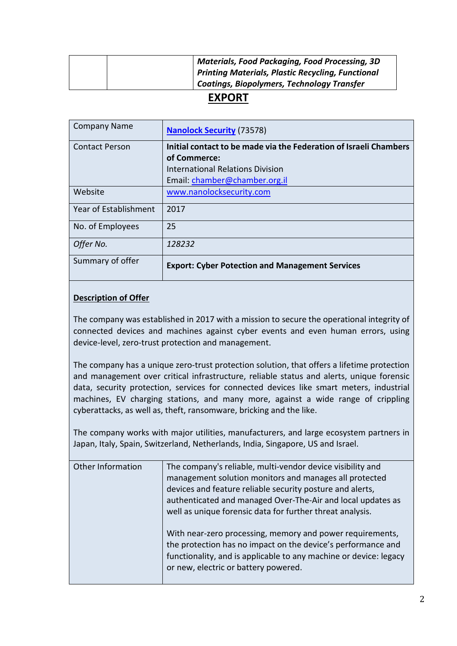|   | <b>Materials, Food Packaging, Food Processing, 3D</b>    |
|---|----------------------------------------------------------|
|   | <b>Printing Materials, Plastic Recycling, Functional</b> |
|   | <b>Coatings, Biopolymers, Technology Transfer</b>        |
| - |                                                          |

# **EXPORT**

| <b>Company Name</b>   | <b>Nanolock Security (73578)</b>                                  |
|-----------------------|-------------------------------------------------------------------|
| <b>Contact Person</b> | Initial contact to be made via the Federation of Israeli Chambers |
|                       | of Commerce:                                                      |
|                       | <b>International Relations Division</b>                           |
|                       | Email: chamber@chamber.org.il                                     |
| Website               | www.nanolocksecurity.com                                          |
| Year of Establishment | 2017                                                              |
| No. of Employees      | 25                                                                |
| Offer No.             | 128232                                                            |
| Summary of offer      | <b>Export: Cyber Potection and Management Services</b>            |

# **Description of Offer**

The company was established in 2017 with a mission to secure the operational integrity of connected devices and machines against cyber events and even human errors, using device-level, zero-trust protection and management.

The company has a unique zero-trust protection solution, that offers a lifetime protection and management over critical infrastructure, reliable status and alerts, unique forensic data, security protection, services for connected devices like smart meters, industrial machines, EV charging stations, and many more, against a wide range of crippling cyberattacks, as well as, theft, ransomware, bricking and the like.

The company works with major utilities, manufacturers, and large ecosystem partners in Japan, Italy, Spain, Switzerland, Netherlands, India, Singapore, US and Israel.

| Other Information | The company's reliable, multi-vendor device visibility and<br>management solution monitors and manages all protected<br>devices and feature reliable security posture and alerts,<br>authenticated and managed Over-The-Air and local updates as<br>well as unique forensic data for further threat analysis. |
|-------------------|---------------------------------------------------------------------------------------------------------------------------------------------------------------------------------------------------------------------------------------------------------------------------------------------------------------|
|                   | With near-zero processing, memory and power requirements,<br>the protection has no impact on the device's performance and<br>functionality, and is applicable to any machine or device: legacy<br>or new, electric or battery powered.                                                                        |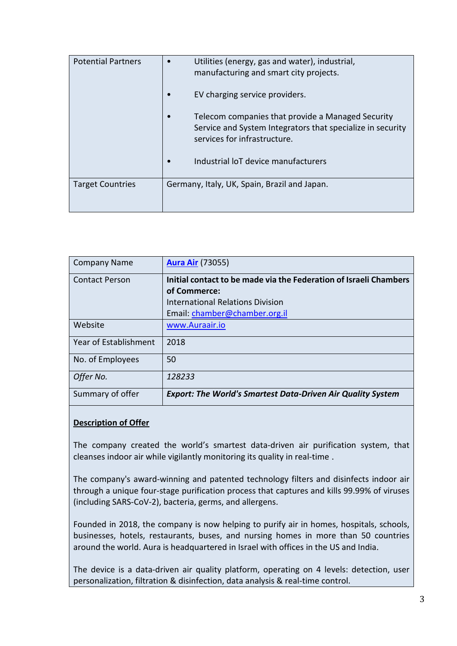| <b>Potential Partners</b> | Utilities (energy, gas and water), industrial,<br>manufacturing and smart city projects.                                                                                               |
|---------------------------|----------------------------------------------------------------------------------------------------------------------------------------------------------------------------------------|
|                           | EV charging service providers.                                                                                                                                                         |
|                           | Telecom companies that provide a Managed Security<br>Service and System Integrators that specialize in security<br>services for infrastructure.<br>Industrial loT device manufacturers |
| <b>Target Countries</b>   | Germany, Italy, UK, Spain, Brazil and Japan.                                                                                                                                           |
|                           |                                                                                                                                                                                        |

| <b>Company Name</b>   | <b>Aura Air (73055)</b>                                                                                                                                |
|-----------------------|--------------------------------------------------------------------------------------------------------------------------------------------------------|
| <b>Contact Person</b> | Initial contact to be made via the Federation of Israeli Chambers<br>of Commerce:<br>International Relations Division<br>Email: chamber@chamber.org.il |
| Website               | www.Auraair.io                                                                                                                                         |
| Year of Establishment | 2018                                                                                                                                                   |
| No. of Employees      | 50                                                                                                                                                     |
| Offer No.             | 128233                                                                                                                                                 |
| Summary of offer      | <b>Export: The World's Smartest Data-Driven Air Quality System</b>                                                                                     |

The company created the world's smartest data-driven air purification system, that cleanses indoor air while vigilantly monitoring its quality in real-time .

The company's award-winning and patented technology filters and disinfects indoor air through a unique four-stage purification process that captures and kills 99.99% of viruses (including SARS-CoV-2), bacteria, germs, and allergens.

Founded in 2018, the company is now helping to purify air in homes, hospitals, schools, businesses, hotels, restaurants, buses, and nursing homes in more than 50 countries around the world. Aura is headquartered in Israel with offices in the US and India.

The device is a data-driven air quality platform, operating on 4 levels: detection, user personalization, filtration & disinfection, data analysis & real-time control.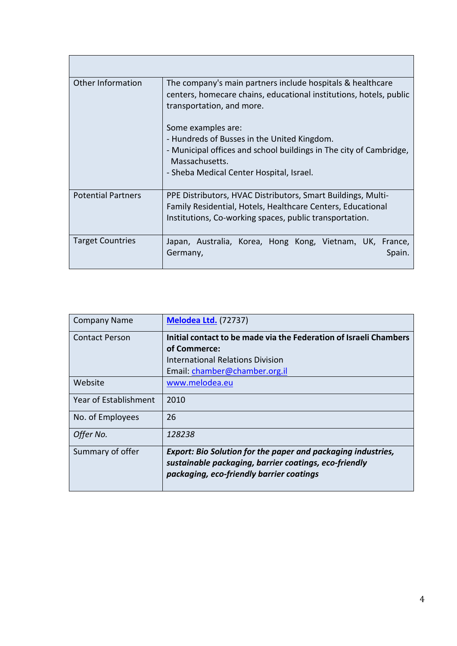| Other Information         | The company's main partners include hospitals & healthcare<br>centers, homecare chains, educational institutions, hotels, public<br>transportation, and more.                                         |
|---------------------------|-------------------------------------------------------------------------------------------------------------------------------------------------------------------------------------------------------|
|                           | Some examples are:<br>- Hundreds of Busses in the United Kingdom.<br>- Municipal offices and school buildings in The city of Cambridge,<br>Massachusetts.<br>- Sheba Medical Center Hospital, Israel. |
| <b>Potential Partners</b> | PPE Distributors, HVAC Distributors, Smart Buildings, Multi-<br>Family Residential, Hotels, Healthcare Centers, Educational<br>Institutions, Co-working spaces, public transportation.                |
| <b>Target Countries</b>   | Japan, Australia, Korea, Hong Kong, Vietnam, UK, France,<br>Spain.<br>Germany,                                                                                                                        |

| <b>Company Name</b>   | <b>Melodea Ltd. (72737)</b>                                                                                                                                              |
|-----------------------|--------------------------------------------------------------------------------------------------------------------------------------------------------------------------|
| <b>Contact Person</b> | Initial contact to be made via the Federation of Israeli Chambers                                                                                                        |
|                       | of Commerce:                                                                                                                                                             |
|                       | <b>International Relations Division</b>                                                                                                                                  |
|                       | Email: chamber@chamber.org.il                                                                                                                                            |
| Website               | www.melodea.eu                                                                                                                                                           |
| Year of Establishment | 2010                                                                                                                                                                     |
| No. of Employees      | 26                                                                                                                                                                       |
| Offer No.             | 128238                                                                                                                                                                   |
| Summary of offer      | <b>Export: Bio Solution for the paper and packaging industries,</b><br>sustainable packaging, barrier coatings, eco-friendly<br>packaging, eco-friendly barrier coatings |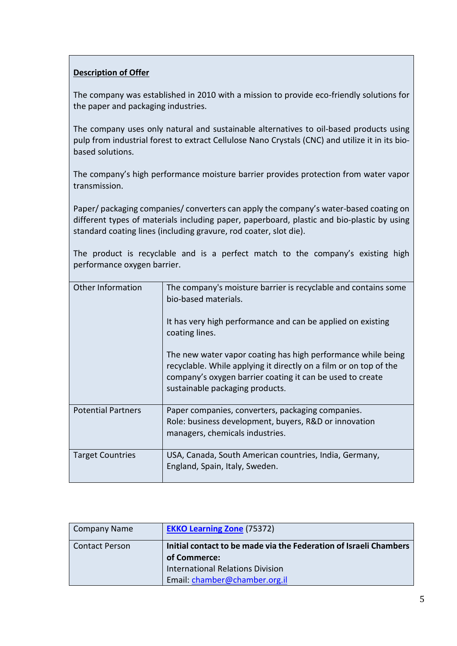The company was established in 2010 with a mission to provide eco-friendly solutions for the paper and packaging industries.

The company uses only natural and sustainable alternatives to oil-based products using pulp from industrial forest to extract Cellulose Nano Crystals (CNC) and utilize it in its biobased solutions.

The company's high performance moisture barrier provides protection from water vapor transmission.

Paper/ packaging companies/ converters can apply the company's water-based coating on different types of materials including paper, paperboard, plastic and bio-plastic by using standard coating lines (including gravure, rod coater, slot die).

| <b>Other Information</b>  | The company's moisture barrier is recyclable and contains some<br>bio-based materials.                                                                                                                                            |
|---------------------------|-----------------------------------------------------------------------------------------------------------------------------------------------------------------------------------------------------------------------------------|
|                           | It has very high performance and can be applied on existing<br>coating lines.                                                                                                                                                     |
|                           | The new water vapor coating has high performance while being<br>recyclable. While applying it directly on a film or on top of the<br>company's oxygen barrier coating it can be used to create<br>sustainable packaging products. |
| <b>Potential Partners</b> | Paper companies, converters, packaging companies.<br>Role: business development, buyers, R&D or innovation<br>managers, chemicals industries.                                                                                     |
| <b>Target Countries</b>   | USA, Canada, South American countries, India, Germany,<br>England, Spain, Italy, Sweden.                                                                                                                                          |

The product is recyclable and is a perfect match to the company's existing high performance oxygen barrier.

| Company Name     | <b>EKKO Learning Zone (75372)</b>                                                 |
|------------------|-----------------------------------------------------------------------------------|
| l Contact Person | Initial contact to be made via the Federation of Israeli Chambers<br>of Commerce: |
|                  | <b>International Relations Division</b>                                           |
|                  | Email: chamber@chamber.org.il                                                     |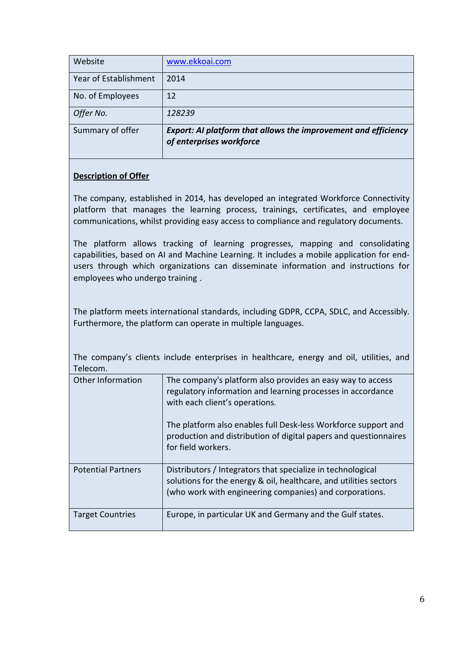| Website               | www.ekkoai.com                                                                             |
|-----------------------|--------------------------------------------------------------------------------------------|
| Year of Establishment | 2014                                                                                       |
| No. of Employees      | 12                                                                                         |
| Offer No.             | 128239                                                                                     |
| Summary of offer      | Export: AI platform that allows the improvement and efficiency<br>of enterprises workforce |

The company, established in 2014, has developed an integrated Workforce Connectivity platform that manages the learning process, trainings, certificates, and employee communications, whilst providing easy access to compliance and regulatory documents.

The platform allows tracking of learning progresses, mapping and consolidating capabilities, based on AI and Machine Learning. It includes a mobile application for endusers through which organizations can disseminate information and instructions for employees who undergo training .

The platform meets international standards, including GDPR, CCPA, SDLC, and Accessibly. Furthermore, the platform can operate in multiple languages.

The company's clients include enterprises in healthcare, energy and oil, utilities, and Telecom.

| Other Information         | The company's platform also provides an easy way to access<br>regulatory information and learning processes in accordance<br>with each client's operations.<br>The platform also enables full Desk-less Workforce support and<br>production and distribution of digital papers and questionnaires<br>for field workers. |
|---------------------------|-------------------------------------------------------------------------------------------------------------------------------------------------------------------------------------------------------------------------------------------------------------------------------------------------------------------------|
| <b>Potential Partners</b> | Distributors / Integrators that specialize in technological<br>solutions for the energy & oil, healthcare, and utilities sectors<br>(who work with engineering companies) and corporations.                                                                                                                             |
| <b>Target Countries</b>   | Europe, in particular UK and Germany and the Gulf states.                                                                                                                                                                                                                                                               |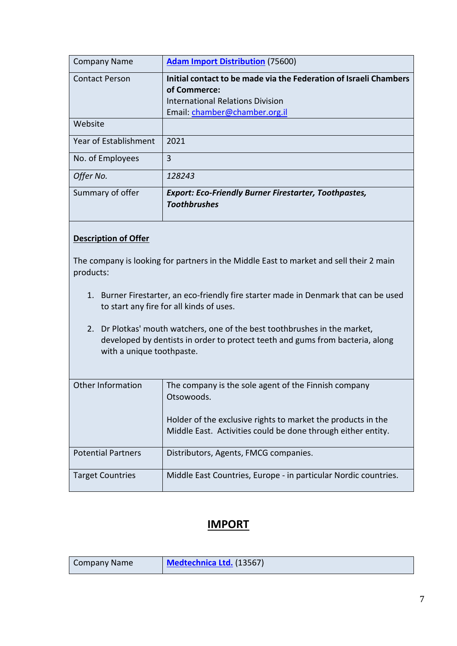| <b>Company Name</b>   | <b>Adam Import Distribution (75600)</b>                                                                                                                       |
|-----------------------|---------------------------------------------------------------------------------------------------------------------------------------------------------------|
| <b>Contact Person</b> | Initial contact to be made via the Federation of Israeli Chambers<br>of Commerce:<br><b>International Relations Division</b><br>Email: chamber@chamber.org.il |
| Website               |                                                                                                                                                               |
| Year of Establishment | 2021                                                                                                                                                          |
| No. of Employees      | 3                                                                                                                                                             |
| Offer No.             | 128243                                                                                                                                                        |
| Summary of offer      | <b>Export: Eco-Friendly Burner Firestarter, Toothpastes,</b><br><b>Toothbrushes</b>                                                                           |

The company is looking for partners in the Middle East to market and sell their 2 main products:

- 1. Burner Firestarter, an eco-friendly fire starter made in Denmark that can be used to start any fire for all kinds of uses.
- 2. Dr Plotkas' mouth watchers, one of the best toothbrushes in the market, developed by dentists in order to protect teeth and gums from bacteria, along with a unique toothpaste.

| Other Information         | The company is the sole agent of the Finnish company                                                                         |
|---------------------------|------------------------------------------------------------------------------------------------------------------------------|
|                           | Otsowoods.                                                                                                                   |
|                           | Holder of the exclusive rights to market the products in the<br>Middle East. Activities could be done through either entity. |
| <b>Potential Partners</b> | Distributors, Agents, FMCG companies.                                                                                        |
| <b>Target Countries</b>   | Middle East Countries, Europe - in particular Nordic countries.                                                              |

# **IMPORT**

| <b>Company Name</b> | Medtechnica Ltd. (13567) |
|---------------------|--------------------------|
|                     |                          |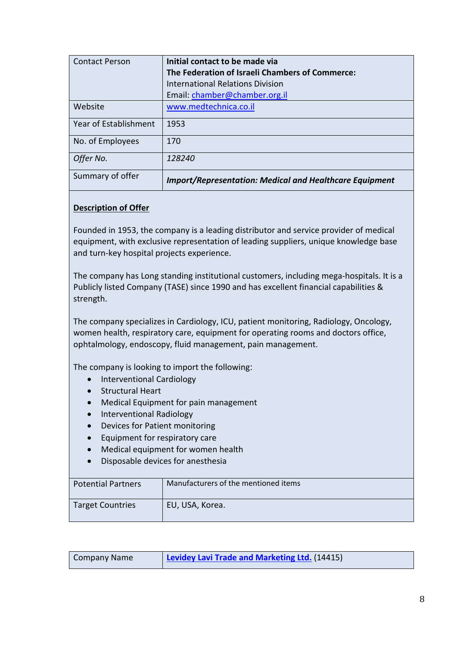| <b>Contact Person</b> | Initial contact to be made via<br>The Federation of Israeli Chambers of Commerce:<br>International Relations Division |
|-----------------------|-----------------------------------------------------------------------------------------------------------------------|
|                       | Email: chamber@chamber.org.il                                                                                         |
| Website               | www.medtechnica.co.il                                                                                                 |
| Year of Establishment | 1953                                                                                                                  |
| No. of Employees      | 170                                                                                                                   |
| Offer No.             | 128240                                                                                                                |
| Summary of offer      | <b>Import/Representation: Medical and Healthcare Equipment</b>                                                        |

Founded in 1953, the company is a leading distributor and service provider of medical equipment, with exclusive representation of leading suppliers, unique knowledge base and turn-key hospital projects experience.

The company has Long standing institutional customers, including mega-hospitals. It is a Publicly listed Company (TASE) since 1990 and has excellent financial capabilities & strength.

The company specializes in Cardiology, ICU, patient monitoring, Radiology, Oncology, women health, respiratory care, equipment for operating rooms and doctors office, ophtalmology, endoscopy, fluid management, pain management.

The company is looking to import the following:

- Interventional Cardiology
- Structural Heart
- Medical Equipment for pain management
- Interventional Radiology
- Devices for Patient monitoring
- Equipment for respiratory care
- Medical equipment for women health
- Disposable devices for anesthesia

| <b>Potential Partners</b> | Manufacturers of the mentioned items |
|---------------------------|--------------------------------------|
| <b>Target Countries</b>   | EU, USA, Korea.                      |

| <b>Company Name</b> | Levidey Lavi Trade and Marketing Ltd. (14415) |
|---------------------|-----------------------------------------------|
|                     |                                               |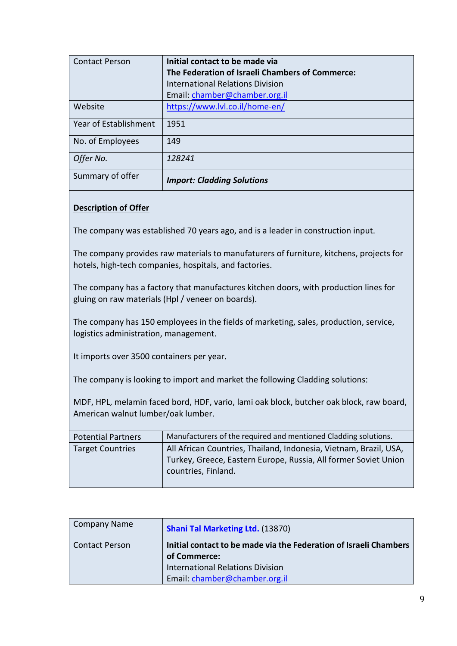| <b>Contact Person</b> | Initial contact to be made via                  |
|-----------------------|-------------------------------------------------|
|                       | The Federation of Israeli Chambers of Commerce: |
|                       | International Relations Division                |
|                       | Email: chamber@chamber.org.il                   |
| Website               | https://www.lvl.co.il/home-en/                  |
| Year of Establishment | 1951                                            |
| No. of Employees      | 149                                             |
| Offer No.             | 128241                                          |
| Summary of offer      | <b>Import: Cladding Solutions</b>               |

The company was established 70 years ago, and is a leader in construction input.

The company provides raw materials to manufaturers of furniture, kitchens, projects for hotels, high-tech companies, hospitals, and factories.

The company has a factory that manufactures kitchen doors, with production lines for gluing on raw materials (Hpl / veneer on boards).

The company has 150 employees in the fields of marketing, sales, production, service, logistics administration, management.

It imports over 3500 containers per year.

The company is looking to import and market the following Cladding solutions:

MDF, HPL, melamin faced bord, HDF, vario, lami oak block, butcher oak block, raw board, American walnut lumber/oak lumber.

| <b>Potential Partners</b> | Manufacturers of the required and mentioned Cladding solutions.                        |
|---------------------------|----------------------------------------------------------------------------------------|
| <b>Target Countries</b>   | All African Countries, Thailand, Indonesia, Vietnam, Brazil, USA,                      |
|                           | Turkey, Greece, Eastern Europe, Russia, All former Soviet Union<br>countries, Finland. |
|                           |                                                                                        |

| <b>Company Name</b>   | <b>Shani Tal Marketing Ltd. (13870)</b>                                           |
|-----------------------|-----------------------------------------------------------------------------------|
| <b>Contact Person</b> | Initial contact to be made via the Federation of Israeli Chambers<br>of Commerce: |
|                       | <b>International Relations Division</b>                                           |
|                       | Email: chamber@chamber.org.il                                                     |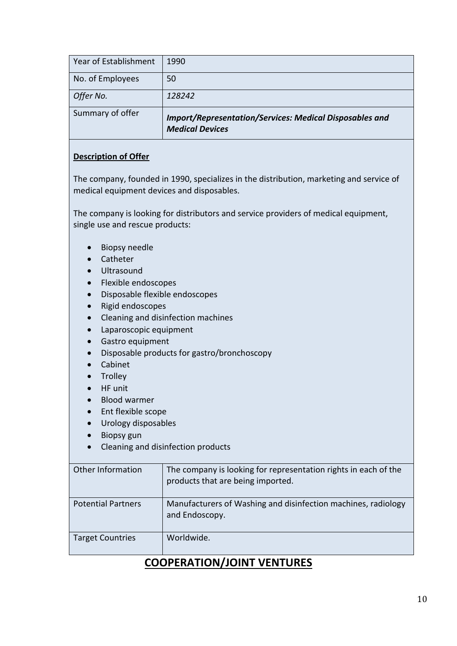| Year of Establishment | 1990                                                                                     |
|-----------------------|------------------------------------------------------------------------------------------|
| No. of Employees      | 50                                                                                       |
| Offer No.             | 128242                                                                                   |
| Summary of offer      | <b>Import/Representation/Services: Medical Disposables and</b><br><b>Medical Devices</b> |

The company, founded in 1990, specializes in the distribution, marketing and service of medical equipment devices and disposables.

The company is looking for distributors and service providers of medical equipment, single use and rescue products:

- Biopsy needle
- Catheter
- Ultrasound
- Flexible endoscopes
- Disposable flexible endoscopes
- Rigid endoscopes
- Cleaning and disinfection machines
- Laparoscopic equipment
- Gastro equipment
- Disposable products for gastro/bronchoscopy
- Cabinet
- Trollev
- HF unit
- Blood warmer
- Ent flexible scope
- Urology disposables
- Biopsy gun
- Cleaning and disinfection products

| Other Information         | The company is looking for representation rights in each of the<br>products that are being imported. |
|---------------------------|------------------------------------------------------------------------------------------------------|
| <b>Potential Partners</b> | Manufacturers of Washing and disinfection machines, radiology<br>and Endoscopy.                      |
| <b>Target Countries</b>   | Worldwide.                                                                                           |

# **COOPERATION/JOINT VENTURES**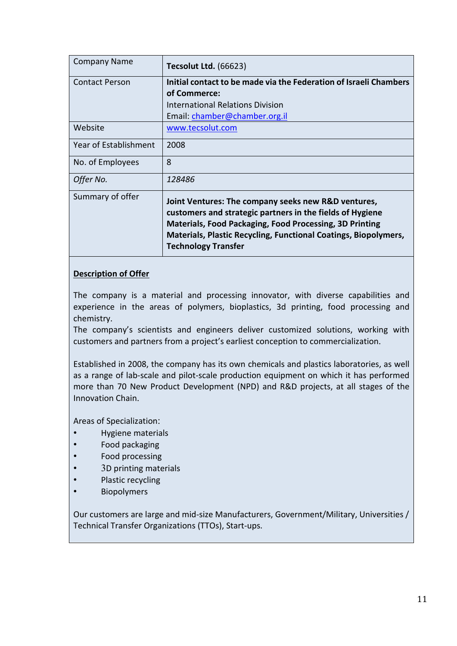| <b>Company Name</b>   | <b>Tecsolut Ltd. (66623)</b>                                                                                                                                                                                                                                                               |
|-----------------------|--------------------------------------------------------------------------------------------------------------------------------------------------------------------------------------------------------------------------------------------------------------------------------------------|
| <b>Contact Person</b> | Initial contact to be made via the Federation of Israeli Chambers<br>of Commerce:<br><b>International Relations Division</b><br>Email: chamber@chamber.org.il                                                                                                                              |
| Website               | www.tecsolut.com                                                                                                                                                                                                                                                                           |
| Year of Establishment | 2008                                                                                                                                                                                                                                                                                       |
| No. of Employees      | 8                                                                                                                                                                                                                                                                                          |
| Offer No.             | 128486                                                                                                                                                                                                                                                                                     |
| Summary of offer      | Joint Ventures: The company seeks new R&D ventures,<br>customers and strategic partners in the fields of Hygiene<br><b>Materials, Food Packaging, Food Processing, 3D Printing</b><br><b>Materials, Plastic Recycling, Functional Coatings, Biopolymers,</b><br><b>Technology Transfer</b> |

The company is a material and processing innovator, with diverse capabilities and experience in the areas of polymers, bioplastics, 3d printing, food processing and chemistry.

The company's scientists and engineers deliver customized solutions, working with customers and partners from a project's earliest conception to commercialization.

Established in 2008, the company has its own chemicals and plastics laboratories, as well as a range of lab-scale and pilot-scale production equipment on which it has performed more than 70 New Product Development (NPD) and R&D projects, at all stages of the Innovation Chain.

Areas of Specialization:

- Hygiene materials
- Food packaging
- Food processing
- 3D printing materials
- Plastic recycling
- **Biopolymers**

Our customers are large and mid-size Manufacturers, Government/Military, Universities / Technical Transfer Organizations (TTOs), Start-ups.